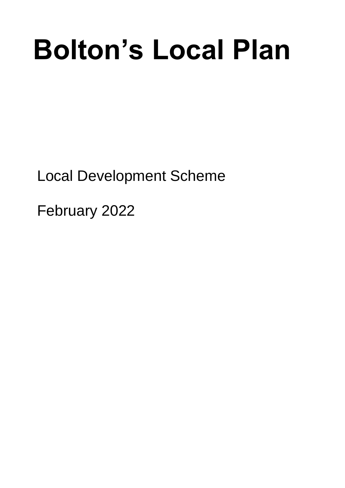# **Bolton's Local Plan**

Local Development Scheme

February 2022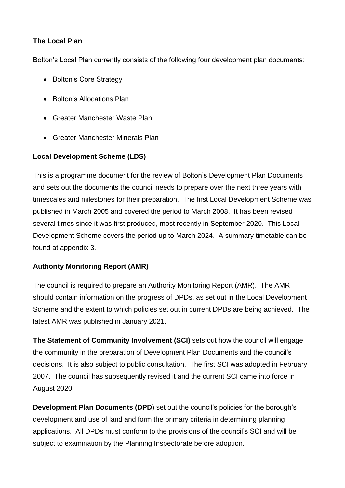#### **The Local Plan**

Bolton's Local Plan currently consists of the following four development plan documents:

- Bolton's Core Strategy
- Bolton's Allocations Plan
- Greater Manchester Waste Plan
- Greater Manchester Minerals Plan

## **Local Development Scheme (LDS)**

This is a programme document for the review of Bolton's Development Plan Documents and sets out the documents the council needs to prepare over the next three years with timescales and milestones for their preparation. The first Local Development Scheme was published in March 2005 and covered the period to March 2008. It has been revised several times since it was first produced, most recently in September 2020. This Local Development Scheme covers the period up to March 2024. A summary timetable can be found at appendix 3.

## **Authority Monitoring Report (AMR)**

The council is required to prepare an Authority Monitoring Report (AMR). The AMR should contain information on the progress of DPDs, as set out in the Local Development Scheme and the extent to which policies set out in current DPDs are being achieved. The latest AMR was published in January 2021.

**The Statement of Community Involvement (SCI)** sets out how the council will engage the community in the preparation of Development Plan Documents and the council's decisions. It is also subject to public consultation. The first SCI was adopted in February 2007. The council has subsequently revised it and the current SCI came into force in August 2020.

**Development Plan Documents (DPD**) set out the council's policies for the borough's development and use of land and form the primary criteria in determining planning applications. All DPDs must conform to the provisions of the council's SCI and will be subject to examination by the Planning Inspectorate before adoption.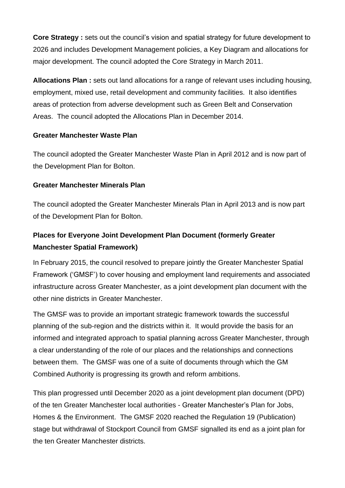**Core Strategy :** sets out the council's vision and spatial strategy for future development to 2026 and includes Development Management policies, a Key Diagram and allocations for major development. The council adopted the Core Strategy in March 2011.

**Allocations Plan :** sets out land allocations for a range of relevant uses including housing, employment, mixed use, retail development and community facilities. It also identifies areas of protection from adverse development such as Green Belt and Conservation Areas. The council adopted the Allocations Plan in December 2014.

#### **Greater Manchester Waste Plan**

The council adopted the Greater Manchester Waste Plan in April 2012 and is now part of the Development Plan for Bolton.

#### **Greater Manchester Minerals Plan**

The council adopted the Greater Manchester Minerals Plan in April 2013 and is now part of the Development Plan for Bolton.

# **Places for Everyone Joint Development Plan Document (formerly Greater Manchester Spatial Framework)**

In February 2015, the council resolved to prepare jointly the Greater Manchester Spatial Framework ('GMSF') to cover housing and employment land requirements and associated infrastructure across Greater Manchester, as a joint development plan document with the other nine districts in Greater Manchester.

The GMSF was to provide an important strategic framework towards the successful planning of the sub-region and the districts within it. It would provide the basis for an informed and integrated approach to spatial planning across Greater Manchester, through a clear understanding of the role of our places and the relationships and connections between them. The GMSF was one of a suite of documents through which the GM Combined Authority is progressing its growth and reform ambitions.

This plan progressed until December 2020 as a joint development plan document (DPD) of the ten Greater Manchester local authorities - Greater Manchester's Plan for Jobs, Homes & the Environment. The GMSF 2020 reached the Regulation 19 (Publication) stage but withdrawal of Stockport Council from GMSF signalled its end as a joint plan for the ten Greater Manchester districts.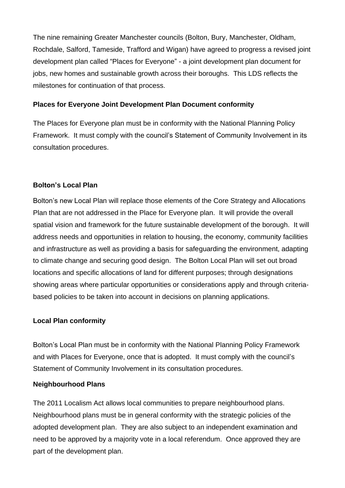The nine remaining Greater Manchester councils (Bolton, Bury, Manchester, Oldham, Rochdale, Salford, Tameside, Trafford and Wigan) have agreed to progress a revised joint development plan called "Places for Everyone" - a joint development plan document for jobs, new homes and sustainable growth across their boroughs. This LDS reflects the milestones for continuation of that process.

#### **Places for Everyone Joint Development Plan Document conformity**

The Places for Everyone plan must be in conformity with the National Planning Policy Framework. It must comply with the council's Statement of Community Involvement in its consultation procedures.

#### **Bolton's Local Plan**

Bolton's new Local Plan will replace those elements of the Core Strategy and Allocations Plan that are not addressed in the Place for Everyone plan. It will provide the overall spatial vision and framework for the future sustainable development of the borough. It will address needs and opportunities in relation to housing, the economy, community facilities and infrastructure as well as providing a basis for safeguarding the environment, adapting to climate change and securing good design. The Bolton Local Plan will set out broad locations and specific allocations of land for different purposes; through designations showing areas where particular opportunities or considerations apply and through criteriabased policies to be taken into account in decisions on planning applications.

#### **Local Plan conformity**

Bolton's Local Plan must be in conformity with the National Planning Policy Framework and with Places for Everyone, once that is adopted. It must comply with the council's Statement of Community Involvement in its consultation procedures.

#### **Neighbourhood Plans**

The 2011 Localism Act allows local communities to prepare neighbourhood plans. Neighbourhood plans must be in general conformity with the strategic policies of the adopted development plan. They are also subject to an independent examination and need to be approved by a majority vote in a local referendum. Once approved they are part of the development plan.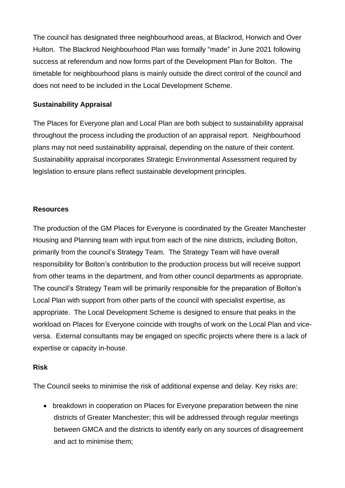The council has designated three neighbourhood areas, at Blackrod, Horwich and Over Hulton. The Blackrod Neighbourhood Plan was formally "made" in June 2021 following success at referendum and now forms part of the Development Plan for Bolton. The timetable for neighbourhood plans is mainly outside the direct control of the council and does not need to be included in the Local Development Scheme.

#### **Sustainability Appraisal**

The Places for Everyone plan and Local Plan are both subject to sustainability appraisal throughout the process including the production of an appraisal report. Neighbourhood plans may not need sustainability appraisal, depending on the nature of their content. Sustainability appraisal incorporates Strategic Environmental Assessment required by legislation to ensure plans reflect sustainable development principles.

#### **Resources**

The production of the GM Places for Everyone is coordinated by the Greater Manchester Housing and Planning team with input from each of the nine districts, including Bolton, primarily from the council's Strategy Team. The Strategy Team will have overall responsibility for Bolton's contribution to the production process but will receive support from other teams in the department, and from other council departments as appropriate. The council's Strategy Team will be primarily responsible for the preparation of Bolton's Local Plan with support from other parts of the council with specialist expertise, as appropriate. The Local Development Scheme is designed to ensure that peaks in the workload on Places for Everyone coincide with troughs of work on the Local Plan and viceversa. External consultants may be engaged on specific projects where there is a lack of expertise or capacity in-house.

#### **Risk**

The Council seeks to minimise the risk of additional expense and delay. Key risks are:

• breakdown in cooperation on Places for Everyone preparation between the nine districts of Greater Manchester; this will be addressed through regular meetings between GMCA and the districts to identify early on any sources of disagreement and act to minimise them;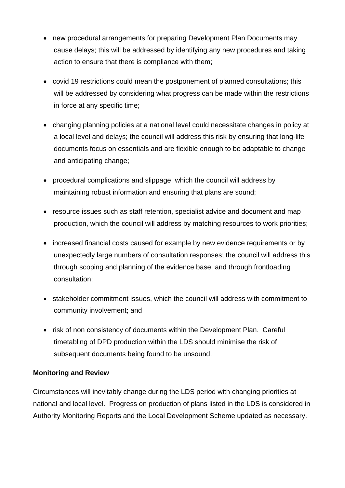- new procedural arrangements for preparing Development Plan Documents may cause delays; this will be addressed by identifying any new procedures and taking action to ensure that there is compliance with them;
- covid 19 restrictions could mean the postponement of planned consultations; this will be addressed by considering what progress can be made within the restrictions in force at any specific time;
- changing planning policies at a national level could necessitate changes in policy at a local level and delays; the council will address this risk by ensuring that long-life documents focus on essentials and are flexible enough to be adaptable to change and anticipating change;
- procedural complications and slippage, which the council will address by maintaining robust information and ensuring that plans are sound;
- resource issues such as staff retention, specialist advice and document and map production, which the council will address by matching resources to work priorities;
- increased financial costs caused for example by new evidence requirements or by unexpectedly large numbers of consultation responses; the council will address this through scoping and planning of the evidence base, and through frontloading consultation;
- stakeholder commitment issues, which the council will address with commitment to community involvement; and
- risk of non consistency of documents within the Development Plan. Careful timetabling of DPD production within the LDS should minimise the risk of subsequent documents being found to be unsound.

#### **Monitoring and Review**

Circumstances will inevitably change during the LDS period with changing priorities at national and local level. Progress on production of plans listed in the LDS is considered in Authority Monitoring Reports and the Local Development Scheme updated as necessary.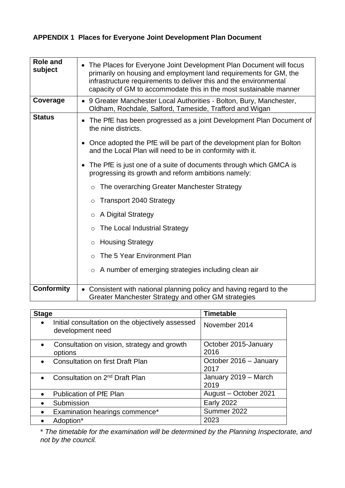# **APPENDIX 1 Places for Everyone Joint Development Plan Document**

| <b>Role and</b><br>subject | • The Places for Everyone Joint Development Plan Document will focus<br>primarily on housing and employment land requirements for GM, the<br>infrastructure requirements to deliver this and the environmental<br>capacity of GM to accommodate this in the most sustainable manner |  |  |  |  |  |  |  |
|----------------------------|-------------------------------------------------------------------------------------------------------------------------------------------------------------------------------------------------------------------------------------------------------------------------------------|--|--|--|--|--|--|--|
| Coverage                   | • 9 Greater Manchester Local Authorities - Bolton, Bury, Manchester,<br>Oldham, Rochdale, Salford, Tameside, Trafford and Wigan                                                                                                                                                     |  |  |  |  |  |  |  |
| <b>Status</b>              | The PfE has been progressed as a joint Development Plan Document of<br>the nine districts.                                                                                                                                                                                          |  |  |  |  |  |  |  |
|                            | • Once adopted the PfE will be part of the development plan for Bolton<br>and the Local Plan will need to be in conformity with it.                                                                                                                                                 |  |  |  |  |  |  |  |
|                            | The PfE is just one of a suite of documents through which GMCA is<br>progressing its growth and reform ambitions namely:                                                                                                                                                            |  |  |  |  |  |  |  |
|                            | The overarching Greater Manchester Strategy<br>$\circ$                                                                                                                                                                                                                              |  |  |  |  |  |  |  |
|                            | <b>Transport 2040 Strategy</b><br>$\circ$                                                                                                                                                                                                                                           |  |  |  |  |  |  |  |
|                            | A Digital Strategy<br>$\circ$                                                                                                                                                                                                                                                       |  |  |  |  |  |  |  |
|                            | The Local Industrial Strategy<br>$\circ$                                                                                                                                                                                                                                            |  |  |  |  |  |  |  |
|                            | <b>Housing Strategy</b><br>$\circ$                                                                                                                                                                                                                                                  |  |  |  |  |  |  |  |
|                            | The 5 Year Environment Plan<br>$\circ$                                                                                                                                                                                                                                              |  |  |  |  |  |  |  |
|                            | A number of emerging strategies including clean air<br>$\circ$                                                                                                                                                                                                                      |  |  |  |  |  |  |  |
| <b>Conformity</b>          | Consistent with national planning policy and having regard to the<br>Greater Manchester Strategy and other GM strategies                                                                                                                                                            |  |  |  |  |  |  |  |

| <b>Stage</b>                                                                      | <b>Timetable</b>               |  |  |
|-----------------------------------------------------------------------------------|--------------------------------|--|--|
| Initial consultation on the objectively assessed<br>$\bullet$<br>development need | November 2014                  |  |  |
| Consultation on vision, strategy and growth<br>$\bullet$<br>options               | October 2015-January<br>2016   |  |  |
| <b>Consultation on first Draft Plan</b>                                           | October 2016 - January<br>2017 |  |  |
| Consultation on 2 <sup>nd</sup> Draft Plan<br>$\bullet$                           | January 2019 - March<br>2019   |  |  |
| <b>Publication of PfE Plan</b><br>$\bullet$                                       | August - October 2021          |  |  |
| Submission                                                                        | <b>Early 2022</b>              |  |  |
| Examination hearings commence*                                                    | Summer 2022                    |  |  |
| Adoption*                                                                         | 2023                           |  |  |

\* *The timetable for the examination will be determined by the Planning Inspectorate, and not by the council.*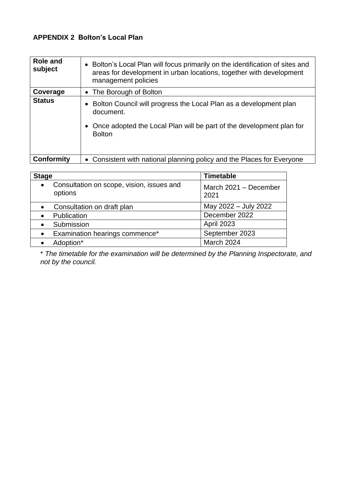# **APPENDIX 2 Bolton's Local Plan**

| Role and<br>subject | • Bolton's Local Plan will focus primarily on the identification of sites and<br>areas for development in urban locations, together with development<br>management policies |
|---------------------|-----------------------------------------------------------------------------------------------------------------------------------------------------------------------------|
| Coverage            | • The Borough of Bolton                                                                                                                                                     |
| <b>Status</b>       | Bolton Council will progress the Local Plan as a development plan<br>document.<br>Once adopted the Local Plan will be part of the development plan for<br><b>Bolton</b>     |
| <b>Conformity</b>   | • Consistent with national planning policy and the Places for Everyone                                                                                                      |

| <b>Stage</b>                                                      | <b>Timetable</b>              |  |  |  |
|-------------------------------------------------------------------|-------------------------------|--|--|--|
| Consultation on scope, vision, issues and<br>$\bullet$<br>options | March 2021 - December<br>2021 |  |  |  |
| Consultation on draft plan                                        | May 2022 - July 2022          |  |  |  |
| Publication                                                       | December 2022                 |  |  |  |
| Submission                                                        | April 2023                    |  |  |  |
| Examination hearings commence*<br>$\bullet$                       | September 2023                |  |  |  |
| Adoption*                                                         | March 2024                    |  |  |  |

\* *The timetable for the examination will be determined by the Planning Inspectorate, and not by the council.*